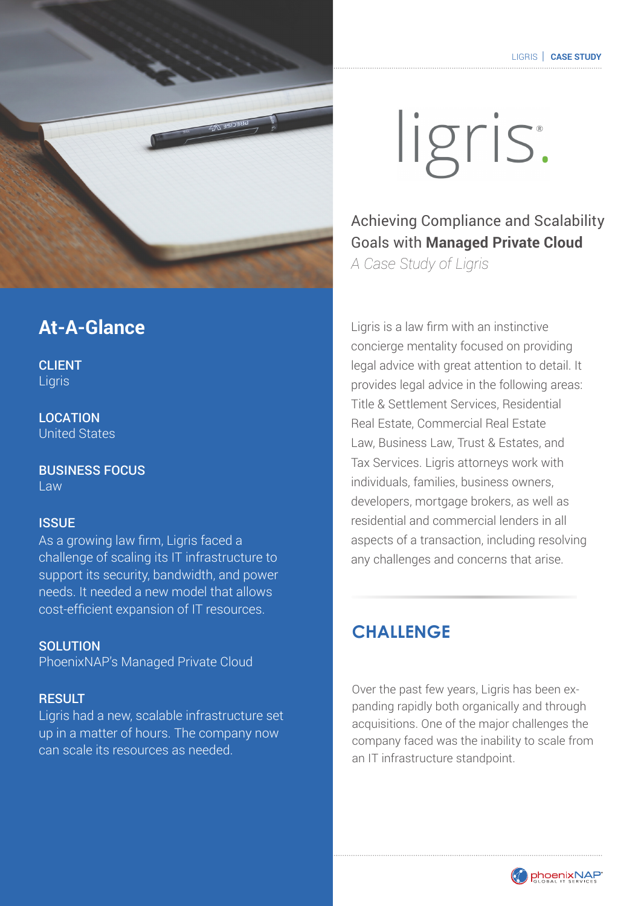

## **At-A-Glance**

**CLIENT** Ligris

LOCATION United States

BUSINESS FOCUS Law

#### **ISSUE**

As a growing law firm, Ligris faced a challenge of scaling its IT infrastructure to support its security, bandwidth, and power needs. It needed a new model that allows cost-efficient expansion of IT resources.

**SOLUTION** PhoenixNAP's Managed Private Cloud

#### **RESULT**

Ligris had a new, scalable infrastructure set up in a matter of hours. The company now can scale its resources as needed.

 $P$  is services in 3402 E. University Dr.  $\mathbb{R}^n$  arizona 85034  $\mathbb{R}^n$  , Arizona 85034  $\mathbb{R}^n$ 

# ligris.

Achieving Compliance and Scalability Goals with **Managed Private Cloud** *A Case Study of Ligris*

Ligris is a law firm with an instinctive concierge mentality focused on providing legal advice with great attention to detail. It provides legal advice in the following areas: Title & Settlement Services, Residential Real Estate, Commercial Real Estate Law, Business Law, Trust & Estates, and Tax Services. Ligris attorneys work with individuals, families, business owners, developers, mortgage brokers, as well as residential and commercial lenders in all aspects of a transaction, including resolving any challenges and concerns that arise.

## **CHALLENGE**

Over the past few years, Ligris has been expanding rapidly both organically and through acquisitions. One of the major challenges the company faced was the inability to scale from an IT infrastructure standpoint.

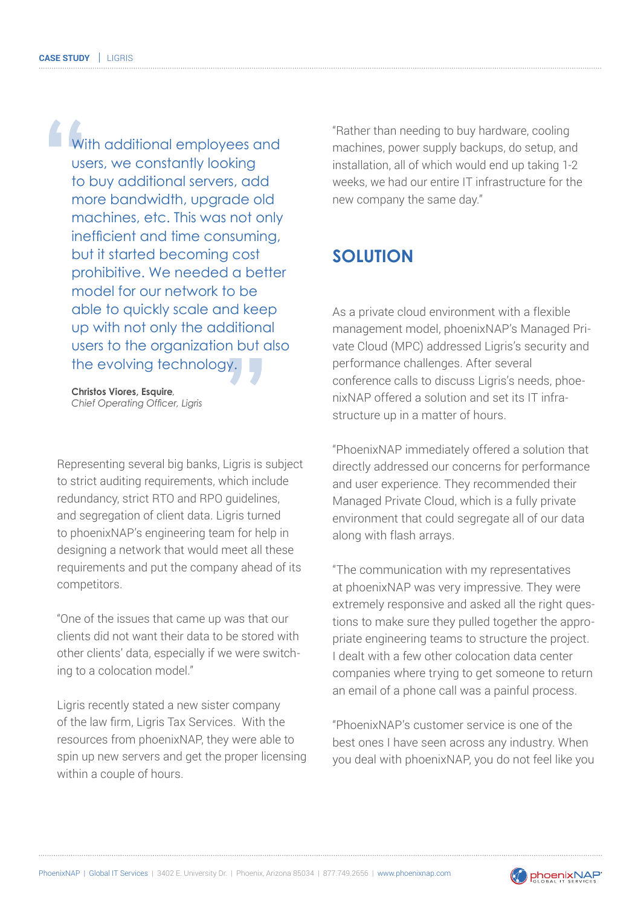With additional employees and users, we constantly looking to buy additional servers, add more bandwidth, upgrade old machines, etc. This was not only inefficient and time consuming, but it started becoming cost prohibitive. We needed a better model for our network to be able to quickly scale and keep up with not only the additional users to the organization but also the evolving technology.

**Christos Viores, Esquire***, Chief Operating Officer, Ligris*

Representing several big banks, Ligris is subject to strict auditing requirements, which include redundancy, strict RTO and RPO guidelines, and segregation of client data. Ligris turned to phoenixNAP's engineering team for help in designing a network that would meet all these requirements and put the company ahead of its competitors.

"One of the issues that came up was that our clients did not want their data to be stored with other clients' data, especially if we were switching to a colocation model."

Ligris recently stated a new sister company of the law firm, Ligris Tax Services. With the resources from phoenixNAP, they were able to spin up new servers and get the proper licensing within a couple of hours.

"Rather than needing to buy hardware, cooling machines, power supply backups, do setup, and installation, all of which would end up taking 1-2 weeks, we had our entire IT infrastructure for the new company the same day."

## **SOLUTION**

As a private cloud environment with a flexible management model, phoenixNAP's Managed Private Cloud (MPC) addressed Ligris's security and performance challenges. After several conference calls to discuss Ligris's needs, phoenixNAP offered a solution and set its IT infrastructure up in a matter of hours.

"PhoenixNAP immediately offered a solution that directly addressed our concerns for performance and user experience. They recommended their Managed Private Cloud, which is a fully private environment that could segregate all of our data along with flash arrays.

"The communication with my representatives at phoenixNAP was very impressive. They were extremely responsive and asked all the right questions to make sure they pulled together the appropriate engineering teams to structure the project. I dealt with a few other colocation data center companies where trying to get someone to return an email of a phone call was a painful process.

"PhoenixNAP's customer service is one of the best ones I have seen across any industry. When you deal with phoenixNAP, you do not feel like you